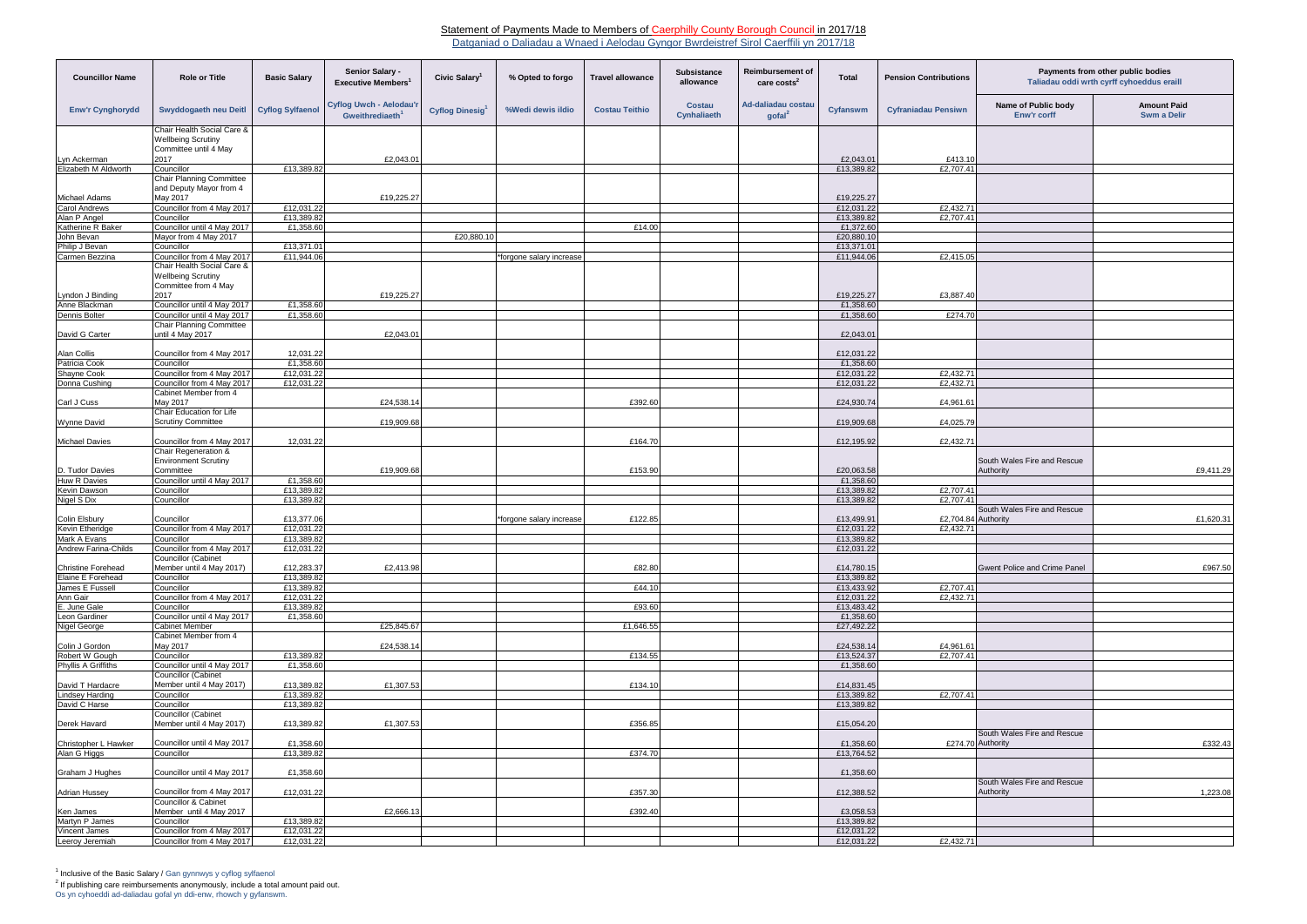## Statement of Payments Made to Members of Caerphilly County Borough Council in 2017/18

Datganiad o Daliadau a Wnaed i Aelodau Gyngor Bwrdeistref Sirol Caerffili yn 2017/18

Os yn cyhoeddi ad-daliadau gofal yn ddi-enw, rhowch y gyfanswm.

| <b>Councillor Name</b>                     | <b>Role or Title</b>                                                                     | <b>Basic Salary</b>      | Senior Salary -<br>Executive Members <sup>1</sup>      | Civic Salary <sup>1</sup>   | % Opted to forgo         | <b>Travel allowance</b> | <b>Subsistance</b><br>allowance     | Reimbursement of<br>care costs <sup>2</sup> | <b>Total</b>             | <b>Pension Contributions</b> | Payments from other public bodies<br>Taliadau oddi wrth cyrff cyhoeddus eraill |                                   |
|--------------------------------------------|------------------------------------------------------------------------------------------|--------------------------|--------------------------------------------------------|-----------------------------|--------------------------|-------------------------|-------------------------------------|---------------------------------------------|--------------------------|------------------------------|--------------------------------------------------------------------------------|-----------------------------------|
| <b>Enw'r Cynghorydd</b>                    | Swyddogaeth neu Deitl                                                                    | <b>Cyflog Sylfaenol</b>  | Cyflog Uwch - Aelodau'r<br>Gweithrediaeth <sup>1</sup> | Cyflog Dinesig <sup>1</sup> | %Wedi dewis ildio        | <b>Costau Teithio</b>   | <b>Costau</b><br><b>Cynhaliaeth</b> | Ad-daliadau costau<br>$\text{gofal}^2$      | Cyfanswm                 | <b>Cyfraniadau Pensiwn</b>   | Name of Public body<br><b>Enw'r corff</b>                                      | <b>Amount Paid</b><br>Swm a Delir |
|                                            | Chair Health Social Care &<br><b>Wellbeing Scrutiny</b><br>Committee until 4 May         |                          |                                                        |                             |                          |                         |                                     |                                             |                          |                              |                                                                                |                                   |
| Lyn Ackerman                               | 2017                                                                                     |                          | £2,043.01                                              |                             |                          |                         |                                     |                                             | £2,043.01                | £413.10                      |                                                                                |                                   |
| Elizabeth M Aldworth                       | Councillor                                                                               | £13,389.82               |                                                        |                             |                          |                         |                                     |                                             | £13,389.82               | £2,707.41                    |                                                                                |                                   |
|                                            | <b>Chair Planning Committee</b>                                                          |                          |                                                        |                             |                          |                         |                                     |                                             |                          |                              |                                                                                |                                   |
|                                            | and Deputy Mayor from 4                                                                  |                          |                                                        |                             |                          |                         |                                     |                                             |                          |                              |                                                                                |                                   |
| Michael Adams                              | May 2017<br>Councillor from 4 May 2017                                                   |                          | £19,225.27                                             |                             |                          |                         |                                     |                                             | £19,225.27               |                              |                                                                                |                                   |
| Carol Andrews<br>Alan P Angel              | Councillor                                                                               | £12,031.22<br>£13,389.82 |                                                        |                             |                          |                         |                                     |                                             | £12,031.22<br>£13,389.82 | £2,432.71<br>£2,707.41       |                                                                                |                                   |
| Katherine R Baker                          | Councillor until 4 May 2017                                                              | £1,358.60                |                                                        |                             |                          | £14.00                  |                                     |                                             | £1,372.60                |                              |                                                                                |                                   |
| John Bevan                                 | Mayor from 4 May 2017                                                                    |                          |                                                        | £20,880.10                  |                          |                         |                                     |                                             | £20,880.10               |                              |                                                                                |                                   |
| Philip J Bevan                             | Councillor                                                                               | £13,371.01               |                                                        |                             |                          |                         |                                     |                                             | £13,371.01               |                              |                                                                                |                                   |
| Carmen Bezzina                             | Councillor from 4 May 2017                                                               | £11,944.06               |                                                        |                             | forgone salary increase  |                         |                                     |                                             | £11,944.06               | £2,415.05                    |                                                                                |                                   |
|                                            | Chair Health Social Care &<br><b>Wellbeing Scrutiny</b><br>Committee from 4 May          |                          |                                                        |                             |                          |                         |                                     |                                             |                          |                              |                                                                                |                                   |
| Lyndon J Binding                           | 2017                                                                                     |                          | £19,225.27                                             |                             |                          |                         |                                     |                                             | £19,225.27               | £3,887.40                    |                                                                                |                                   |
| Anne Blackman                              | Councillor until 4 May 2017                                                              | £1,358.60                |                                                        |                             |                          |                         |                                     |                                             | £1,358.60                |                              |                                                                                |                                   |
| Dennis Bolter                              | Councillor until 4 May 2017                                                              | £1,358.60                |                                                        |                             |                          |                         |                                     |                                             | £1,358.60                | £274.70                      |                                                                                |                                   |
| David G Carter                             | <b>Chair Planning Committee</b><br>until 4 May 2017                                      |                          | £2,043.01                                              |                             |                          |                         |                                     |                                             | £2,043.0                 |                              |                                                                                |                                   |
| Alan Collis                                | Councillor from 4 May 2017                                                               | 12,031.22                |                                                        |                             |                          |                         |                                     |                                             | £12,031.22               |                              |                                                                                |                                   |
| Patricia Cook                              | Councillor                                                                               | £1,358.60                |                                                        |                             |                          |                         |                                     |                                             | £1,358.60                |                              |                                                                                |                                   |
| Shayne Cook                                | Councillor from 4 May 2017                                                               | £12,031.22               |                                                        |                             |                          |                         |                                     |                                             | £12,031.22               | £2,432.71                    |                                                                                |                                   |
| Donna Cushing                              | Councillor from 4 May 2017                                                               | £12,031.22               |                                                        |                             |                          |                         |                                     |                                             | £12,031.22               | £2,432.71                    |                                                                                |                                   |
| Carl J Cuss                                | Cabinet Member from 4<br>May 2017                                                        |                          | £24,538.14                                             |                             |                          | £392.60                 |                                     |                                             | £24,930.74               | £4,961.6                     |                                                                                |                                   |
|                                            | Chair Education for Life                                                                 |                          |                                                        |                             |                          |                         |                                     |                                             |                          |                              |                                                                                |                                   |
| <b>Wynne David</b>                         | <b>Scrutiny Committee</b>                                                                |                          | £19,909.68                                             |                             |                          |                         |                                     |                                             | £19,909.68               | £4,025.79                    |                                                                                |                                   |
| <b>Michael Davies</b>                      | Councillor from 4 May 2017                                                               | 12,031.22                |                                                        |                             |                          | £164.70                 |                                     |                                             | £12,195.92               | £2,432.71                    |                                                                                |                                   |
| D. Tudor Davies                            | Chair Regeneration &<br><b>Environment Scrutiny</b><br>Committee                         |                          | £19,909.68                                             |                             |                          | £153.90                 |                                     |                                             | £20,063.58               |                              | South Wales Fire and Rescue<br>Authority                                       | £9,411.29                         |
| Huw R Davies                               | Councillor until 4 May 2017                                                              | £1,358.60                |                                                        |                             |                          |                         |                                     |                                             | £1,358.60                |                              |                                                                                |                                   |
| Kevin Dawson                               | Councillor                                                                               | £13,389.82               |                                                        |                             |                          |                         |                                     |                                             | £13,389.82               | £2,707.41                    |                                                                                |                                   |
| Nigel S Dix                                | Councillor                                                                               | £13,389.82               |                                                        |                             |                          |                         |                                     |                                             | £13,389.82               | £2,707.41                    |                                                                                |                                   |
| Colin Elsbury                              | Councillor                                                                               | £13,377.06               |                                                        |                             | *forgone salary increase | £122.85                 |                                     |                                             | £13,499.91               | £2,704.84 Authority          | South Wales Fire and Rescue                                                    | £1,620.31                         |
| Kevin Etheridge                            | Councillor from 4 May 2017                                                               | £12,031.22               |                                                        |                             |                          |                         |                                     |                                             | £12,031.22               | £2,432.7                     |                                                                                |                                   |
| Mark A Evans                               | Councillor                                                                               | £13,389.82               |                                                        |                             |                          |                         |                                     |                                             | £13,389.82               |                              |                                                                                |                                   |
| Andrew Farina-Childs                       | Councillor from 4 May 2017<br>Councillor (Cabinet                                        | £12,031.22               |                                                        |                             |                          |                         |                                     |                                             | £12,031.22               |                              |                                                                                |                                   |
| <b>Christine Forehead</b>                  | Member until 4 May 2017)                                                                 | £12,283.37               | £2,413.98                                              |                             |                          | £82.80                  |                                     |                                             | £14,780.15               |                              | <b>Gwent Police and Crime Panel</b>                                            | £967.50                           |
| Elaine E Forehead                          | Councillor                                                                               | £13,389.82               |                                                        |                             |                          |                         |                                     |                                             | £13,389.82               |                              |                                                                                |                                   |
| James E Fussell                            | Councillor                                                                               | £13,389.82               |                                                        |                             |                          | £44.10                  |                                     |                                             | £13,433.92               | £2,707.41                    |                                                                                |                                   |
| Ann Gair                                   | Councillor from 4 May 2017                                                               | £12,031.22               |                                                        |                             |                          |                         |                                     |                                             | £12,031.22               | £2,432.71                    |                                                                                |                                   |
| E. June Gale                               | Councillor                                                                               | £13,389.82               |                                                        |                             |                          | £93.60                  |                                     |                                             | £13,483.42               |                              |                                                                                |                                   |
| Leon Gardiner                              | Councillor until 4 May 2017                                                              | £1,358.60                |                                                        |                             |                          |                         |                                     |                                             | £1,358.60                |                              |                                                                                |                                   |
| Nigel George                               | <b>Cabinet Member</b>                                                                    |                          | £25,845.67                                             |                             |                          | £1,646.55               |                                     |                                             | £27,492.22               |                              |                                                                                |                                   |
|                                            | Cabinet Member from 4                                                                    |                          |                                                        |                             |                          |                         |                                     |                                             |                          |                              |                                                                                |                                   |
| Colin J Gordon                             | May 2017                                                                                 |                          | £24,538.14                                             |                             |                          |                         |                                     |                                             | £24,538.14               | £4,961.61                    |                                                                                |                                   |
| Robert W Gough                             | Councillor                                                                               | £13,389.82               |                                                        |                             |                          | £134.55                 |                                     |                                             | £13,524.37               | £2,707.41                    |                                                                                |                                   |
| Phyllis A Griffiths                        | Councillor until 4 May 2017<br>Councillor (Cabinet                                       | £1,358.60                |                                                        |                             |                          |                         |                                     |                                             | £1,358.60                |                              |                                                                                |                                   |
| David T Hardacre<br><b>Lindsey Harding</b> | Member until 4 May 2017)<br>Councillor                                                   | £13,389.82<br>£13,389.82 | £1,307.53                                              |                             |                          | £134.10                 |                                     |                                             | £14,831.45<br>£13,389.82 | £2,707.41                    |                                                                                |                                   |
| David C Harse                              | Councillor                                                                               | £13,389.82               |                                                        |                             |                          |                         |                                     |                                             | £13,389.82               |                              |                                                                                |                                   |
|                                            | Councillor (Cabinet                                                                      |                          |                                                        |                             |                          |                         |                                     |                                             |                          |                              |                                                                                |                                   |
| Derek Havard                               | Member until 4 May 2017)                                                                 | £13,389.82               | £1,307.53                                              |                             |                          | £356.85                 |                                     |                                             | £15,054.20               |                              | South Wales Fire and Rescue                                                    |                                   |
| Christopher L Hawker                       | Councillor until 4 May 2017                                                              | £1,358.60                |                                                        |                             |                          |                         |                                     |                                             | £1,358.60                |                              | £274.70 Authority                                                              | £332.43                           |
| Alan G Higgs                               | Councillor                                                                               | £13,389.82               |                                                        |                             |                          | £374.70                 |                                     |                                             | £13,764.52               |                              |                                                                                |                                   |
| Graham J Hughes                            | Councillor until 4 May 2017                                                              | £1,358.60                |                                                        |                             |                          |                         |                                     |                                             | £1,358.60                |                              | South Wales Fire and Rescue                                                    |                                   |
| <b>Adrian Hussey</b><br>Ken James          | Councillor from 4 May 2017<br><b>Councillor &amp; Cabinet</b><br>Member until 4 May 2017 | £12,031.22               | £2,666.13                                              |                             |                          | £357.30<br>£392.40      |                                     |                                             | £12,388.52<br>£3,058.53  |                              | Authority                                                                      | 1,223.08                          |
| Martyn P James                             | Councillor                                                                               | £13,389.82               |                                                        |                             |                          |                         |                                     |                                             | £13,389.82               |                              |                                                                                |                                   |
| Vincent James                              | Councillor from 4 May 2017                                                               | £12,031.22               |                                                        |                             |                          |                         |                                     |                                             | £12,031.22               |                              |                                                                                |                                   |
| Leeroy Jeremiah                            | Councillor from 4 May 2017                                                               | £12,031.22               |                                                        |                             |                          |                         |                                     |                                             | £12,031.22               | £2,432.71                    |                                                                                |                                   |
|                                            |                                                                                          |                          |                                                        |                             |                          |                         |                                     |                                             |                          |                              |                                                                                |                                   |

<sup>1</sup> Inclusive of the Basic Salary / Gan gynnwys y cyflog sylfaenol<br><sup>2</sup> If publishing care reimbursements anonymously, include a total amount paid out.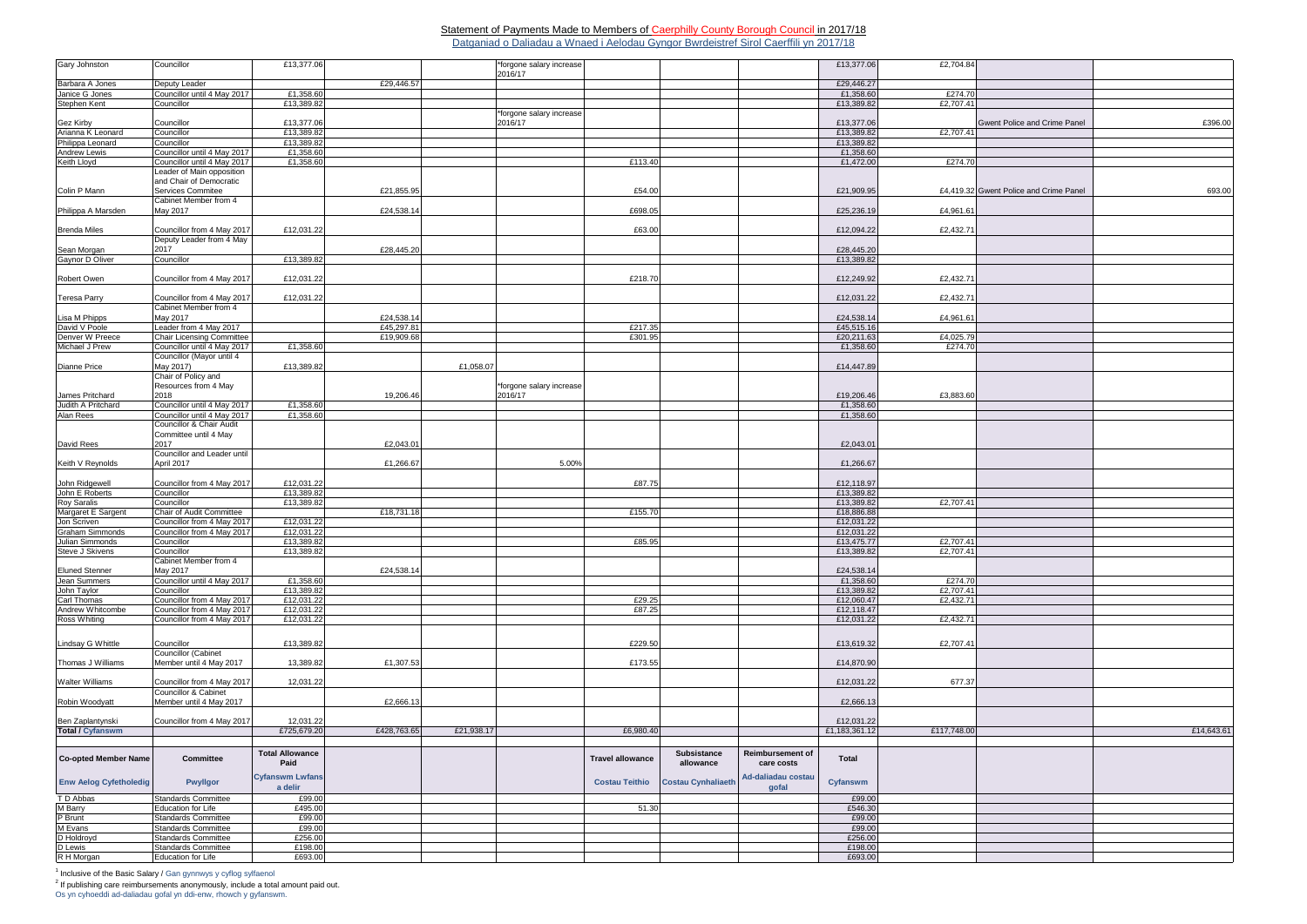## Statement of Payments Made to Members of Caerphilly County Borough Council in 2017/18 Datganiad o Daliadau a Wnaed i Aelodau Gyngor Bwrdeistref Sirol Caerffili yn 2017/18

Os yn cyhoeddi ad-daliadau gofal yn ddi-enw, rhowch y gyfanswm.

| Gary Johnston                        | Councillor                       | £13,377.06             |             |            | *forgone salary increase |                         |                           |                         | £13,377.06    | £2,704.84   |                                        |            |
|--------------------------------------|----------------------------------|------------------------|-------------|------------|--------------------------|-------------------------|---------------------------|-------------------------|---------------|-------------|----------------------------------------|------------|
|                                      |                                  |                        |             |            | 2016/17                  |                         |                           |                         |               |             |                                        |            |
| Barbara A Jones                      | Deputy Leader                    |                        | £29,446.57  |            |                          |                         |                           |                         | £29,446.27    |             |                                        |            |
| Janice G Jones                       | Councillor until 4 May 2017      | £1,358.60              |             |            |                          |                         |                           |                         | £1,358.60     | £274.70     |                                        |            |
| Stephen Kent                         | Councillor                       | £13,389.82             |             |            |                          |                         |                           |                         | £13,389.82    | £2,707.41   |                                        |            |
|                                      |                                  |                        |             |            | *forgone salary increase |                         |                           |                         |               |             |                                        |            |
| Gez Kirby                            | Councillor                       | £13,377.06             |             |            | 2016/17                  |                         |                           |                         | £13,377.06    |             | Gwent Police and Crime Panel           | £396.00    |
| Arianna K Leonard                    | Councillor                       | £13,389.82             |             |            |                          |                         |                           |                         | £13,389.82    | £2,707.41   |                                        |            |
| Philippa Leonard                     | Councillor                       | £13,389.82             |             |            |                          |                         |                           |                         | £13,389.82    |             |                                        |            |
| <b>Andrew Lewis</b>                  | Councillor until 4 May 2017      | £1,358.60              |             |            |                          |                         |                           |                         | £1,358.60     |             |                                        |            |
| Keith Lloyd                          | Councillor until 4 May 2017      | £1,358.60              |             |            |                          | £113.40                 |                           |                         | £1,472.00     | £274.70     |                                        |            |
|                                      | Leader of Main opposition        |                        |             |            |                          |                         |                           |                         |               |             |                                        |            |
|                                      | and Chair of Democratic          |                        |             |            |                          |                         |                           |                         |               |             |                                        |            |
| Colin P Mann                         | Services Commitee                |                        | £21,855.95  |            |                          | £54.00                  |                           |                         | £21,909.95    |             | £4.419.32 Gwent Police and Crime Panel | 693.00     |
|                                      | Cabinet Member from 4            |                        |             |            |                          |                         |                           |                         |               |             |                                        |            |
| Philippa A Marsden                   | May 2017                         |                        | £24,538.14  |            |                          | £698.05                 |                           |                         | £25,236.19    | £4,961.61   |                                        |            |
|                                      |                                  |                        |             |            |                          |                         |                           |                         |               |             |                                        |            |
| <b>Brenda Miles</b>                  | Councillor from 4 May 2017       | £12,031.22             |             |            |                          | £63.00                  |                           |                         | £12,094.22    | £2,432.71   |                                        |            |
|                                      | Deputy Leader from 4 May<br>2017 |                        |             |            |                          |                         |                           |                         |               |             |                                        |            |
| Sean Morgan                          |                                  | £13,389.82             | £28,445.20  |            |                          |                         |                           |                         | £28,445.20    |             |                                        |            |
| Gaynor D Oliver                      | Councillor                       |                        |             |            |                          |                         |                           |                         | £13,389.82    |             |                                        |            |
| Robert Owen                          | Councillor from 4 May 2017       | £12,031.22             |             |            |                          | £218.70                 |                           |                         | £12,249.92    | £2,432.7    |                                        |            |
|                                      |                                  |                        |             |            |                          |                         |                           |                         |               |             |                                        |            |
| <b>Teresa Parry</b>                  | Councillor from 4 May 2017       | £12,031.22             |             |            |                          |                         |                           |                         | £12,031.22    | £2,432.71   |                                        |            |
|                                      | Cabinet Member from 4            |                        |             |            |                          |                         |                           |                         |               |             |                                        |            |
| Lisa M Phipps                        | May 2017                         |                        | £24,538.14  |            |                          |                         |                           |                         | £24,538.14    | £4,961.61   |                                        |            |
| David V Poole                        | Leader from 4 May 2017           |                        | £45,297.81  |            |                          | £217.35                 |                           |                         | £45,515.16    |             |                                        |            |
| Denver W Preece                      | Chair Licensing Committee        |                        | £19,909.68  |            |                          | £301.95                 |                           |                         | £20,211.63    | £4,025.79   |                                        |            |
| Michael J Prew                       | Councillor until 4 May 2017      | £1,358.60              |             |            |                          |                         |                           |                         | £1,358.60     | £274.70     |                                        |            |
|                                      | Councillor (Mayor until 4        |                        |             |            |                          |                         |                           |                         |               |             |                                        |            |
| <b>Dianne Price</b>                  | May 2017)                        | £13,389.82             |             | £1,058.07  |                          |                         |                           |                         | £14,447.89    |             |                                        |            |
|                                      | Chair of Policy and              |                        |             |            |                          |                         |                           |                         |               |             |                                        |            |
|                                      | Resources from 4 May             |                        |             |            | *forgone salary increase |                         |                           |                         |               |             |                                        |            |
| James Pritchard                      | 2018                             |                        | 19,206.46   |            | 2016/17                  |                         |                           |                         | £19,206.46    | £3,883.60   |                                        |            |
| Judith A Pritchard                   | Councillor until 4 May 2017      | £1,358.60              |             |            |                          |                         |                           |                         | £1,358.60     |             |                                        |            |
| Alan Rees                            | Councillor until 4 May 2017      | £1,358.60              |             |            |                          |                         |                           |                         | £1,358.60     |             |                                        |            |
|                                      | Councillor & Chair Audit         |                        |             |            |                          |                         |                           |                         |               |             |                                        |            |
|                                      | Committee until 4 May            |                        |             |            |                          |                         |                           |                         |               |             |                                        |            |
| <b>David Rees</b>                    | 2017                             |                        | £2,043.01   |            |                          |                         |                           |                         | £2,043.0      |             |                                        |            |
|                                      | Councillor and Leader until      |                        |             |            |                          |                         |                           |                         |               |             |                                        |            |
| Keith V Reynolds                     | April 2017                       |                        | £1,266.67   |            | 5.00%                    |                         |                           |                         | £1,266.67     |             |                                        |            |
|                                      |                                  |                        |             |            |                          |                         |                           |                         |               |             |                                        |            |
| John Ridgewell                       | Councillor from 4 May 2017       | £12,031.22             |             |            |                          | £87.75                  |                           |                         | £12,118.97    |             |                                        |            |
| John E Roberts                       | Councillor                       | £13,389.82             |             |            |                          |                         |                           |                         | £13,389.82    |             |                                        |            |
| <b>Roy Saralis</b>                   | Councillor                       | £13,389.82             |             |            |                          |                         |                           |                         | £13,389.82    | £2,707.41   |                                        |            |
| Margaret E Sargent                   | Chair of Audit Committee         |                        | £18,731.18  |            |                          | £155.70                 |                           |                         | £18,886.88    |             |                                        |            |
| Jon Scriven                          | Councillor from 4 May 2017       | £12,031.22             |             |            |                          |                         |                           |                         | £12,031.22    |             |                                        |            |
| <b>Graham Simmonds</b>               | Councillor from 4 May 2017       | £12,031.22             |             |            |                          |                         |                           |                         | £12,031.22    |             |                                        |            |
| Julian Simmonds                      | Councillor                       | £13,389.82             |             |            |                          | £85.95                  |                           |                         | £13,475.77    | £2,707.41   |                                        |            |
| Steve J Skivens                      | Councillor                       | £13,389.82             |             |            |                          |                         |                           |                         | £13,389.82    | £2,707.41   |                                        |            |
|                                      | Cabinet Member from 4            |                        |             |            |                          |                         |                           |                         |               |             |                                        |            |
| <b>Eluned Stenner</b>                | May 2017                         |                        | £24,538.14  |            |                          |                         |                           |                         | £24,538.14    |             |                                        |            |
| Jean Summers                         | Councillor until 4 May 2017      | £1,358.60              |             |            |                          |                         |                           |                         | £1,358.60     | £274.70     |                                        |            |
| John Taylor                          | Councillor                       | £13,389.82             |             |            |                          |                         |                           |                         | £13,389.82    | £2,707.41   |                                        |            |
| <b>Carl Thomas</b>                   | Councillor from 4 May 2017       | £12,031.22             |             |            |                          | £29.25                  |                           |                         | £12,060.47    | £2,432.71   |                                        |            |
| Andrew Whitcombe                     | Councillor from 4 May 2017       | £12,031.22             |             |            |                          | £87.25                  |                           |                         | £12,118.47    |             |                                        |            |
| Ross Whiting                         | Councillor from 4 May 2017       | £12,031.22             |             |            |                          |                         |                           |                         | £12,031.22    | £2,432.71   |                                        |            |
|                                      |                                  |                        |             |            |                          |                         |                           |                         |               |             |                                        |            |
| Lindsay G Whittle                    | Councillor                       | £13,389.82             |             |            |                          | £229.50                 |                           |                         | £13,619.32    | £2,707.4    |                                        |            |
|                                      | Councillor (Cabinet              |                        |             |            |                          |                         |                           |                         |               |             |                                        |            |
| Thomas J Williams                    | Member until 4 May 2017          | 13,389.82              | £1,307.53   |            |                          | £173.55                 |                           |                         | £14,870.90    |             |                                        |            |
|                                      |                                  |                        |             |            |                          |                         |                           |                         |               |             |                                        |            |
| <b>Walter Williams</b>               | Councillor from 4 May 2017       | 12,031.22              |             |            |                          |                         |                           |                         | £12,031.22    | 677.37      |                                        |            |
|                                      | <b>Councillor &amp; Cabinet</b>  |                        |             |            |                          |                         |                           |                         |               |             |                                        |            |
| Robin Woodyatt                       | Member until 4 May 2017          |                        | £2,666.13   |            |                          |                         |                           |                         | £2,666.13     |             |                                        |            |
|                                      |                                  |                        |             |            |                          |                         |                           |                         |               |             |                                        |            |
|                                      | Councillor from 4 May 2017       | 12,031.22              |             |            |                          |                         |                           |                         | £12,031.22    |             |                                        |            |
| Ben Zaplantynski<br>Total / Cyfanswm |                                  | £725,679.20            | £428,763.65 | £21,938.17 |                          | £6,980.40               |                           |                         | £1,183,361.12 | £117,748.00 |                                        | £14,643.61 |
|                                      |                                  |                        |             |            |                          |                         |                           |                         |               |             |                                        |            |
|                                      |                                  | <b>Total Allowance</b> |             |            |                          |                         | <b>Subsistance</b>        | <b>Reimbursement of</b> |               |             |                                        |            |
| <b>Co-opted Member Name</b>          | <b>Committee</b>                 | Paid                   |             |            |                          | <b>Travel allowance</b> | allowance                 | care costs              | Total         |             |                                        |            |
|                                      |                                  |                        |             |            |                          |                         |                           |                         |               |             |                                        |            |
| <b>Enw Aelog Cyfetholedig</b>        | <b>Pwyllgor</b>                  | <b>Cyfanswm Lwfans</b> |             |            |                          | <b>Costau Teithio</b>   | <b>Costau Cynhaliaeth</b> | Ad-daliadau costau      | Cyfanswm      |             |                                        |            |
|                                      |                                  | a delir                |             |            |                          |                         |                           | gofal                   |               |             |                                        |            |
| T D Abbas                            | <b>Standards Committee</b>       | £99.00                 |             |            |                          |                         |                           |                         | £99.00        |             |                                        |            |
| <b>M</b> Barry                       | Education for Life               | £495.00                |             |            |                          | 51.30                   |                           |                         | £546.30       |             |                                        |            |
| P Brunt                              | <b>Standards Committee</b>       | £99.00                 |             |            |                          |                         |                           |                         | £99.00        |             |                                        |            |
| M Evans                              | <b>Standards Committee</b>       | £99.00                 |             |            |                          |                         |                           |                         | £99.00        |             |                                        |            |
| D Holdroyd                           | <b>Standards Committee</b>       | £256.00                |             |            |                          |                         |                           |                         | £256.00       |             |                                        |            |
| D Lewis                              | Standards Committee              | £198.00                |             |            |                          |                         |                           |                         | £198.00       |             |                                        |            |
| R H Morgan                           | Education for Life               | £693.00                |             |            |                          |                         |                           |                         | £693.00       |             |                                        |            |

<sup>1</sup> Inclusive of the Basic Salary / Gan gynnwys y cyflog sylfaenol<br><sup>2</sup> If publishing care reimbursements anonymously, include a total amount paid out.